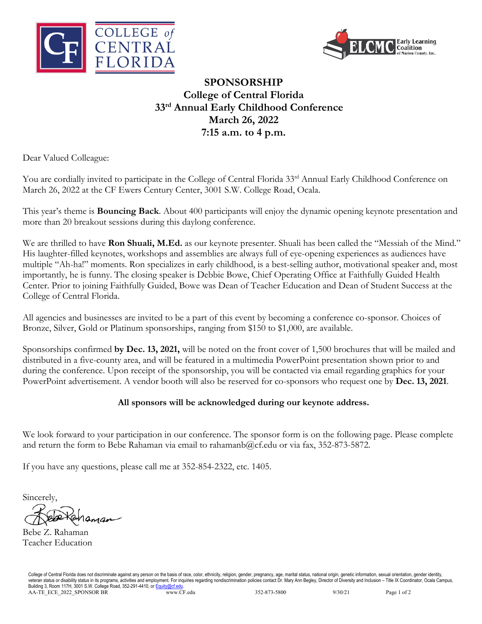



## **SPONSORSHIP College of Central Florida 33rd Annual Early Childhood Conference March 26, 2022 7:15 a.m. to 4 p.m.**

Dear Valued Colleague:

You are cordially invited to participate in the College of Central Florida 33<sup>rd</sup> Annual Early Childhood Conference on March 26, 2022 at the CF Ewers Century Center, 3001 S.W. College Road, Ocala.

This year's theme is **Bouncing Back**. About 400 participants will enjoy the dynamic opening keynote presentation and more than 20 breakout sessions during this daylong conference.

We are thrilled to have **Ron Shuali, M.Ed.** as our keynote presenter. Shuali has been called the "Messiah of the Mind." His laughter-filled keynotes, workshops and assemblies are always full of eye-opening experiences as audiences have multiple "Ah-ha!" moments. Ron specializes in early childhood, is a best-selling author, motivational speaker and, most importantly, he is funny. The closing speaker is Debbie Bowe, Chief Operating Office at Faithfully Guided Health Center. Prior to joining Faithfully Guided, Bowe was Dean of Teacher Education and Dean of Student Success at the College of Central Florida.

All agencies and businesses are invited to be a part of this event by becoming a conference co-sponsor. Choices of Bronze, Silver, Gold or Platinum sponsorships, ranging from \$150 to \$1,000, are available.

Sponsorships confirmed **by Dec. 13, 2021,** will be noted on the front cover of 1,500 brochures that will be mailed and distributed in a five-county area, and will be featured in a multimedia PowerPoint presentation shown prior to and during the conference. Upon receipt of the sponsorship, you will be contacted via email regarding graphics for your PowerPoint advertisement. A vendor booth will also be reserved for co-sponsors who request one by **Dec. 13, 2021**.

## **All sponsors will be acknowledged during our keynote address.**

We look forward to your participation in our conference. The sponsor form is on the following page. Please complete and return the form to Bebe Rahaman via email to rahamanb@cf.edu or via fax, 352-873-5872.

If you have any questions, please call me at 352-854-2322, etc. 1405.

Sincerely,

Bebe Z. Rahaman Teacher Education